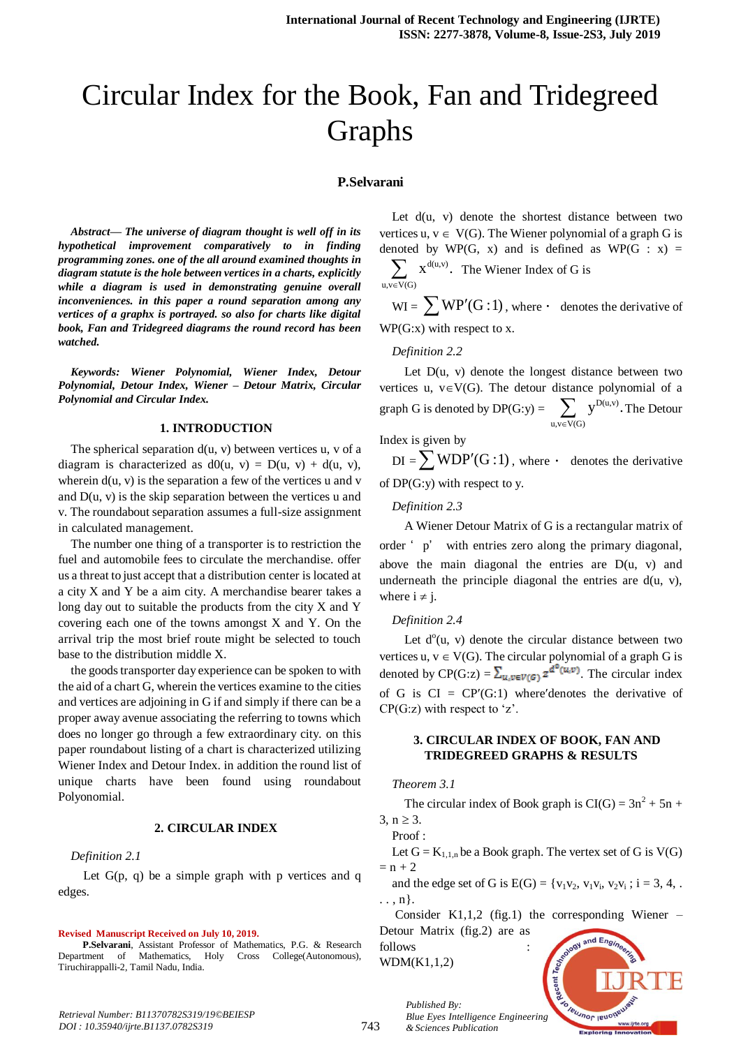# Circular Index for the Book, Fan and Tridegreed Graphs

## **P.Selvarani**

*Abstract***—** *The universe of diagram thought is well off in its hypothetical improvement comparatively to in finding programming zones. one of the all around examined thoughts in diagram statute is the hole between vertices in a charts, explicitly while a diagram is used in demonstrating genuine overall inconveniences. in this paper a round separation among any vertices of a graphx is portrayed. so also for charts like digital book, Fan and Tridegreed diagrams the round record has been watched.*

*Keywords: Wiener Polynomial, Wiener Index, Detour Polynomial, Detour Index, Wiener – Detour Matrix, Circular Polynomial and Circular Index.*

## **1. INTRODUCTION**

The spherical separation  $d(u, v)$  between vertices u, v of a diagram is characterized as  $d0(u, v) = D(u, v) + d(u, v)$ , wherein  $d(u, v)$  is the separation a few of the vertices u and v and  $D(u, v)$  is the skip separation between the vertices u and v. The roundabout separation assumes a full-size assignment in calculated management.

The number one thing of a transporter is to restriction the fuel and automobile fees to circulate the merchandise. offer us a threat to just accept that a distribution center is located at a city X and Y be a aim city. A merchandise bearer takes a long day out to suitable the products from the city X and Y covering each one of the towns amongst X and Y. On the arrival trip the most brief route might be selected to touch base to the distribution middle X.

the goods transporter day experience can be spoken to with the aid of a chart G, wherein the vertices examine to the cities and vertices are adjoining in G if and simply if there can be a proper away avenue associating the referring to towns which does no longer go through a few extraordinary city. on this paper roundabout listing of a chart is characterized utilizing Wiener Index and Detour Index. in addition the round list of unique charts have been found using roundabout Polyonomial.

# **2. CIRCULAR INDEX**

#### *Definition 2.1*

Let  $G(p, q)$  be a simple graph with p vertices and q edges.

#### **Revised Manuscript Received on July 10, 2019.**

 **P.Selvarani**, Assistant Professor of Mathematics, P.G. & Research Department of Mathematics, Holy Cross College(Autonomous), Tiruchirappalli-2, Tamil Nadu, India.

Let  $d(u, v)$  denote the shortest distance between two vertices u,  $v \in V(G)$ . The Wiener polynomial of a graph G is denoted by WP(G, x) and is defined as WP(G : x) = d(u,v)  $u, v \in V(G)$  $X^{d(u,v)}$ .  $\sum_{y \in V(G)} x^{d(u,v)}$ . The Wiener Index of G is

 $WI = \sum WP'(G:1)$ , where  $\cdot$  denotes the derivative of WP(G:x) with respect to x.

#### *Definition 2.2*

Let  $D(u, v)$  denote the longest distance between two vertices u,  $v \in V(G)$ . The detour distance polynomial of a graph G is denoted by  $DP(G:y) = \sum_{y} y^{D(u,v)}$  $u, v \in V(G)$  $y^{D(u,v)}$ .  $\sum_{y \in V(G)} y^{D(u,v)}$ . The Detour

Index is given by

 $DI = \sum WDP'(G:1)$ , where  $\cdot$  denotes the derivative of DP(G:y) with respect to y.

#### *Definition 2.3*

A Wiener Detour Matrix of G is a rectangular matrix of order ' p' with entries zero along the primary diagonal, above the main diagonal the entries are  $D(u, v)$  and underneath the principle diagonal the entries are  $d(u, v)$ , where  $i \neq j$ .

## *Definition 2.4*

Let  $d^0(u, v)$  denote the circular distance between two vertices u,  $v \in V(G)$ . The circular polynomial of a graph G is denoted by CP(G:z) =  $\sum_{u,v \in V(G)} z^{d^0(u,v)}$ . The circular index of G is  $CI = CP'(G:1)$  where'denotes the derivative of  $CP(G:z)$  with respect to 'z'.

# **3. CIRCULAR INDEX OF BOOK, FAN AND TRIDEGREED GRAPHS & RESULTS**

## *Theorem 3.1*

The circular index of Book graph is  $CI(G) = 3n^2 + 5n +$ 

 $3, n \ge 3.$  $Proof$ 

Let  $G = K_{1,1,n}$  be a Book graph. The vertex set of G is  $V(G)$  $= n + 2$ 

and the edge set of G is  $E(G) = \{v_1v_2, v_1v_i, v_2v_i; i = 3, 4, ...\}$ . . , n}.

Consider K1,1,2 (fig.1) the corresponding Wiener – Detour Matrix (fig.2) are as

follows WDM(K1,1,2)

*Published By:*

*& Sciences Publication* 

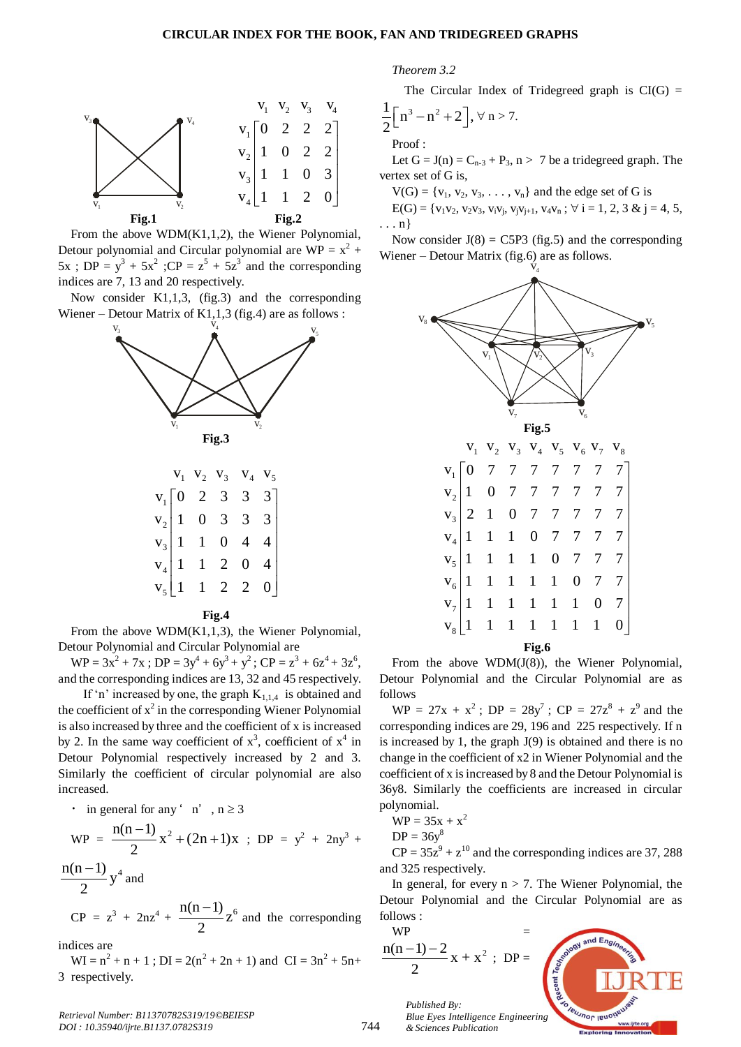

From the above WDM(K1,1,2), the Wiener Polynomial, Detour polynomial and Circular polynomial are  $WP = x^2 +$  $5x$ ; DP =  $y^3 + 5x^2$ ; CP =  $z^5 + 5z^3$  and the corresponding indices are 7, 13 and 20 respectively.

Now consider K1,1,3, (fig.3) and the corresponding Wiener – Detour Matrix of  $K1,1,3$  (fig.4) are as follows :



|  | $V_2$ $V_3$ $V_4$ |                                                                                                                                                                         |  |
|--|-------------------|-------------------------------------------------------------------------------------------------------------------------------------------------------------------------|--|
|  |                   |                                                                                                                                                                         |  |
|  |                   |                                                                                                                                                                         |  |
|  |                   |                                                                                                                                                                         |  |
|  |                   |                                                                                                                                                                         |  |
|  |                   | $\begin{array}{c cccc} v_1 & 0 & 2 & 3 & 3 & 3 \\ v_2 & 1 & 0 & 3 & 3 & 3 \\ v_3 & 1 & 1 & 0 & 4 & 4 \\ v_4 & 1 & 1 & 2 & 0 & 4 \\ v_5 & 1 & 1 & 2 & 2 & 0 \end{array}$ |  |

**Fig.4**

From the above WDM(K1,1,3), the Wiener Polynomial, Detour Polynomial and Circular Polynomial are

 $WP = 3x^2 + 7x$ ;  $DP = 3y^4 + 6y^3 + y^2$ ;  $CP = z^3 + 6z^4 + 3z^6$ , and the corresponding indices are 13, 32 and 45 respectively.

If 'n' increased by one, the graph  $K_{1,1,4}$  is obtained and the coefficient of  $x^2$  in the corresponding Wiener Polynomial is also increased by three and the coefficient of x is increased by 2. In the same way coefficient of  $x^3$ , coefficient of  $x^4$  in Detour Polynomial respectively increased by 2 and 3. Similarly the coefficient of circular polynomial are also increased.

 $\cdot$  in general for any ' n', n  $\geq$  3

$$
WP = \frac{n(n-1)}{2}x^{2} + (2n+1)x ; DP = y^{2} + 2ny^{3} + \frac{n(n-1)}{2}y^{4} \text{ and}
$$

 $CP = z^3 + 2nz^4 +$  $z^6$  and the corresponding 2

indices are

 $WI = n^2 + n + 1$ ;  $DI = 2(n^2 + 2n + 1)$  and  $CI = 3n^2 + 5n +$ 3 respectively.

*Theorem 3.2*

The Circular Index of Tridegreed graph is  $CI(G)$  =

$$
\frac{1}{2}\left[n^3-n^2+2\right], \forall n>7.
$$

Proof :

Let  $G = J(n) = C_{n-3} + P_3$ ,  $n > 7$  be a tridegreed graph. The vertex set of G is,

 $V(G) = \{v_1, v_2, v_3, \ldots, v_n\}$  and the edge set of G is

 $E(G) = \{v_1v_2, v_2v_3, v_iv_j, v_jv_{j+1}, v_4v_n; \forall i = 1, 2, 3 \& j = 4, 5,$ . . . n}

Now consider  $J(8) = C5P3$  (fig.5) and the corresponding Wiener – Detour Matrix (fig.6) are as follows.



From the above WDM(J(8)), the Wiener Polynomial, Detour Polynomial and the Circular Polynomial are as follows

 $WP = 27x + x^2$ ;  $DP = 28y^7$ ;  $CP = 27z^8 + z^9$  and the corresponding indices are 29, 196 and 225 respectively. If n is increased by 1, the graph  $J(9)$  is obtained and there is no change in the coefficient of x2 in Wiener Polynomial and the coefficient of x is increased by 8 and the Detour Polynomial is 36y8. Similarly the coefficients are increased in circular polynomial.

$$
WP = 35x + x^2
$$

$$
DP = 36y^8
$$

 $CP = 35z^9 + z^{10}$  and the corresponding indices are 37, 288 and 325 respectively.

In general, for every  $n > 7$ . The Wiener Polynomial, the Detour Polynomial and the Circular Polynomial are as follows :

$$
\frac{MP}{10(n-1)-2} = x + x^2 ; DP =
$$



744 *Published By: Blue Eyes Intelligence Engineering & Sciences Publication*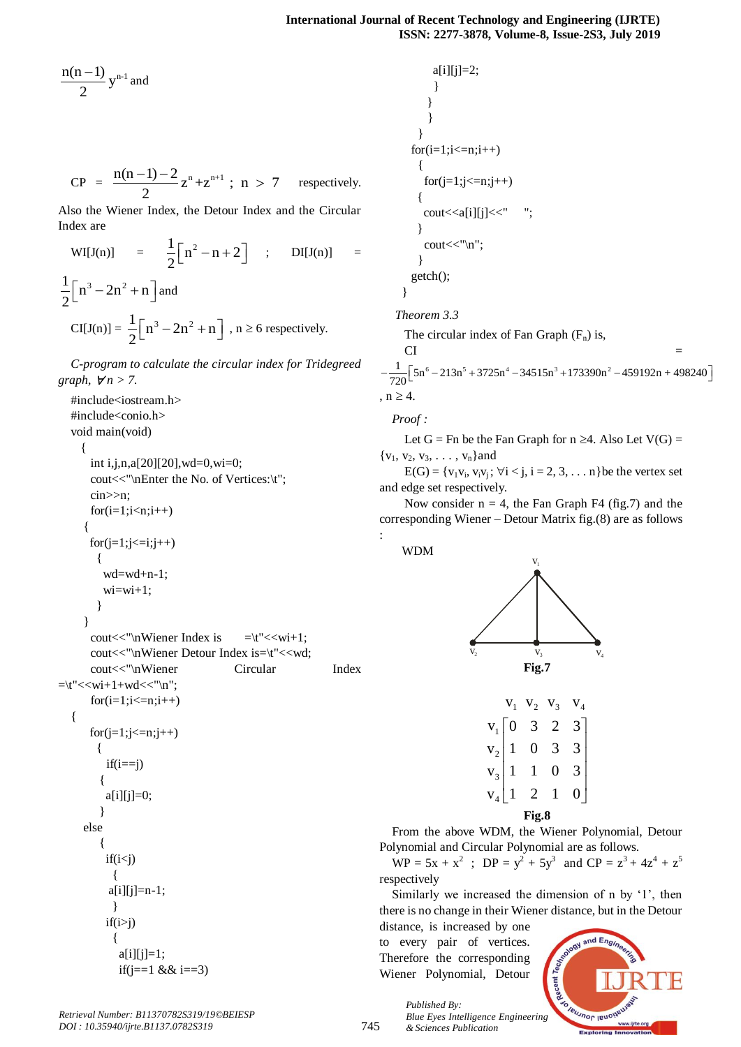$$
\frac{n(n-1)}{2}y^{n-1} \text{ and }
$$

CP = 
$$
\frac{n(n-1)-2}{2}z^{n}+z^{n+1}
$$
; n > 7 respectively.

Also the Wiener Index, the Detour Index and the Circular Index are

$$
WI[J(n)] = \frac{1}{2} [n^2 - n + 2] ; \quad DI[J(n)] = \frac{1}{2} [n^3 - 2n^2 + n] \text{ and}
$$

$$
CI[J(n)] = \frac{1}{2} [n^3 - 2n^2 + n] , n \ge 6 \text{ respectively.}
$$

*C-program to calculate the circular index for Tridegreed graph,*  $\forall n > 7$ .

#include<iostream.h> #include<conio.h> void main(void) { int i,j,n,a[20][20],wd=0,wi=0; cout<<"\nEnter the No. of Vertices:\t"; cin>>n;  $for(i=1;i < n;i++)$ {  $for (j=1; j<=i; j++)$  { wd=wd+n-1;  $w_i = w_i + 1$ ; } } cout $<<$ "\nWiener Index is  $=$ \t" $<<$ wi+1; cout<<"\nWiener Detour Index is=\t"<<wd; cout<<"\nWiener Circular Index  $=\t<\t<\t<\t<\t<\t<\t<\t<\t<\t<\t|$  $for(i=1;i<=n;i++)$ {  $for(i=1;i<=n;i++)$  {  $if(i==j)$ {  $a[i][j]=0;$ } else {  $if(i < j)$  {  $a[i][j]=n-1;$  }  $if(i>j)$  {  $a[i][j]=1;$ if(j==1 && i==3)

 $a[i][j]=2;$  } } } }  $for(i=1;i<=n;i++)$  {  $for (j=1; j<=n; j++)$ { cout<<a[i][j]<<" "; } cout << "\n"; } getch(); } *Theorem 3.3* The circular index of Fan Graph  $(F_n)$  is,  $CI =$ The circular index of Fan Graph (F<sub>n</sub>) is,<br>
CI =<br>  $-\frac{1}{720} [5n^6 - 213n^5 + 3725n^4 - 34515n^3 + 173390n^2 - 459192n + 498240]$ ,  $n \geq 4$ .

*Proof :*

Let G = Fn be the Fan Graph for  $n \geq 4$ . Also Let V(G) =  ${v_1, v_2, v_3, \ldots, v_n}$  and

 $E(G) = \{v_1v_i, v_iv_j; \forall i < j, i = 2, 3, \dots n\}$  be the vertex set and edge set respectively.

Now consider  $n = 4$ , the Fan Graph F4 (fig.7) and the corresponding Wiener – Detour Matrix fig.(8) are as follows :

WDM



|       |  | $V_2$                                                                                                                                                         | $V_3$ |  |  |  |  |  |
|-------|--|---------------------------------------------------------------------------------------------------------------------------------------------------------------|-------|--|--|--|--|--|
|       |  |                                                                                                                                                               |       |  |  |  |  |  |
|       |  |                                                                                                                                                               |       |  |  |  |  |  |
|       |  |                                                                                                                                                               |       |  |  |  |  |  |
|       |  | $\begin{array}{c} v_1 \begin{bmatrix} 0 & 3 & 2 \\ v_2 \end{bmatrix} & 1 & 0 & 3 \\ v_3 \begin{bmatrix} 1 & 1 & 0 \\ 1 & 2 & 1 \end{bmatrix} & 1 \end{array}$ |       |  |  |  |  |  |
| Fig.8 |  |                                                                                                                                                               |       |  |  |  |  |  |

From the above WDM, the Wiener Polynomial, Detour Polynomial and Circular Polynomial are as follows.

 $WP = 5x + x^2$ ;  $DP = y^2 + 5y^3$  and  $CP = z^3 + 4z^4 + z^5$ respectively

Similarly we increased the dimension of n by '1', then there is no change in their Wiener distance, but in the Detour

distance, is increased by one to every pair of vertices. Therefore the corresponding Wiener Polynomial, Detour

*& Sciences Publication* 

*Published By:*